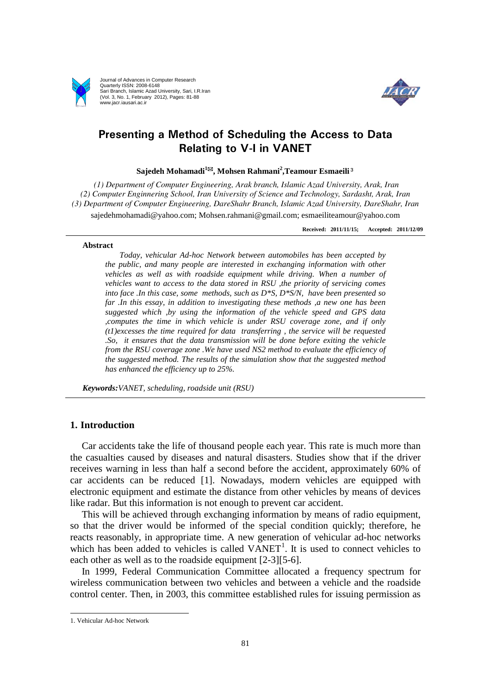

Journal of Advances in Computer Research Quarterly ISSN: 2008-6148 Sari Branch, Islamic Azad University, Sari, I.R.Iran (Vol. 3, No. 1, February 2012), Pages: 81-88 www.jacr.iausari.ac.ir



## **Presenting a Method of Scheduling the Access to Data Relating to V-I in VANET**

**Sajedeh Mohamadi<sup>1</sup>, Mohsen Rahmani<sup>2</sup> ,Teamour Esmaeili**³

*(1) Department of Computer Engineering, Arak branch, Islamic Azad University, Arak, Iran (2) Computer Enginnering School, Iran University of Science and Technology, Sardasht, Arak, Iran (3) Department of Computer Engineering, DareShahr Branch, Islamic Azad University, DareShahr, Iran* [sajedehmohamadi@yahoo.com;](mailto:sajedehmohamadi@yahoo.com) [Mohsen.rahmani@gmail.com;](mailto:Mohsen.rahmani@gmail.com) esmaeiliteamour@yahoo.com

**Received: 2011/11/15; Accepted: 2011/12/09**

#### **Abstract**

*Today, vehicular Ad-hoc Network between automobiles has been accepted by the public, and many people are interested in exchanging information with other vehicles as well as with roadside equipment while driving. When a number of vehicles want to access to the data stored in RSU ,the priority of servicing comes into face .In this case, some methods, such as D\*S, D\*S/N, have been presented so far .In this essay, in addition to investigating these methods ,a new one has been suggested which ,by using the information of the vehicle speed and GPS data ,computes the time in which vehicle is under RSU coverage zone, and if only (t1)excesses the time required for data transferring , the service will be requested .So, it ensures that the data transmission will be done before exiting the vehicle from the RSU coverage zone .We have used NS2 method to evaluate the efficiency of the suggested method. The results of the simulation show that the suggested method has enhanced the efficiency up to 25%.*

*Keywords:VANET, scheduling, roadside unit (RSU)*

#### **1. Introduction**

Car accidents take the life of thousand people each year. This rate is much more than the casualties caused by diseases and natural disasters. Studies show that if the driver receives warning in less than half a second before the accident, approximately 60% of car accidents can be reduced [1]. Nowadays, modern vehicles are equipped with electronic equipment and estimate the distance from other vehicles by means of devices like radar. But this information is not enough to prevent car accident.

This will be achieved through exchanging information by means of radio equipment, so that the driver would be informed of the special condition quickly; therefore, he reacts reasonably, in appropriate time. A new generation of vehicular ad-hoc networks which has been added to vehicles is called VANET<sup>1</sup>. It is used to connect vehicles to each other as well as to the roadside equipment [2-3][5-6].

In 1999, Federal Communication Committee allocated a frequency spectrum for wireless communication between two vehicles and between a vehicle and the roadside control center. Then, in 2003, this committee established rules for issuing permission as

 <sup>1.</sup> Vehicular Ad-hoc Network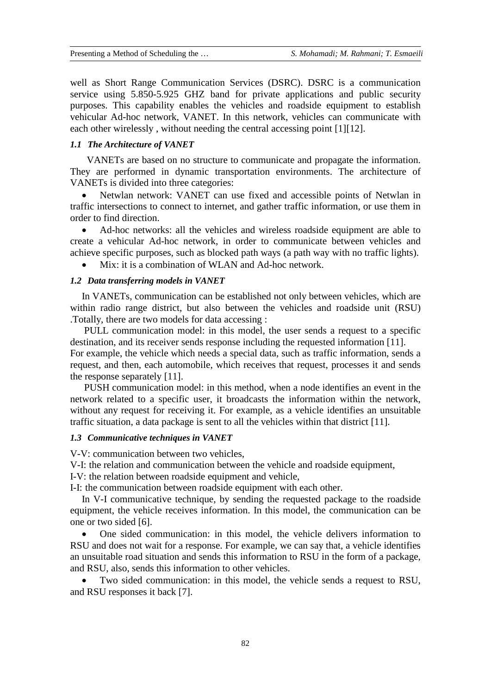well as Short Range Communication Services (DSRC). DSRC is a communication service using 5.850-5.925 GHZ band for private applications and public security purposes. This capability enables the vehicles and roadside equipment to establish vehicular Ad-hoc network, VANET. In this network, vehicles can communicate with each other wirelessly, without needing the central accessing point [1][12].

### *1.1 The Architecture of VANET*

 VANETs are based on no structure to communicate and propagate the information. They are performed in dynamic transportation environments. The architecture of VANETs is divided into three categories:

• Netwlan network: VANET can use fixed and accessible points of Netwlan in traffic intersections to connect to internet, and gather traffic information, or use them in order to find direction.

• Ad-hoc networks: all the vehicles and wireless roadside equipment are able to create a vehicular Ad-hoc network, in order to communicate between vehicles and achieve specific purposes, such as blocked path ways (a path way with no traffic lights).

• Mix: it is a combination of WLAN and Ad-hoc network.

#### *1.2 Data transferring models in VANET*

In VANETs, communication can be established not only between vehicles, which are within radio range district, but also between the vehicles and roadside unit (RSU) .Totally, there are two models for data accessing :

PULL communication model: in this model, the user sends a request to a specific destination, and its receiver sends response including the requested information [11]. For example, the vehicle which needs a special data, such as traffic information, sends a request, and then, each automobile, which receives that request, processes it and sends the response separately [11].

PUSH communication model: in this method, when a node identifies an event in the network related to a specific user, it broadcasts the information within the network, without any request for receiving it. For example, as a vehicle identifies an unsuitable traffic situation, a data package is sent to all the vehicles within that district [11].

#### *1.3 Communicative techniques in VANET*

V-V: communication between two vehicles,

V-I: the relation and communication between the vehicle and roadside equipment,

I-V: the relation between roadside equipment and vehicle,

I-I: the communication between roadside equipment with each other.

In V-I communicative technique, by sending the requested package to the roadside equipment, the vehicle receives information. In this model, the communication can be one or two sided [6].

• One sided communication: in this model, the vehicle delivers information to RSU and does not wait for a response. For example, we can say that, a vehicle identifies an unsuitable road situation and sends this information to RSU in the form of a package, and RSU, also, sends this information to other vehicles.

Two sided communication: in this model, the vehicle sends a request to RSU, and RSU responses it back [7].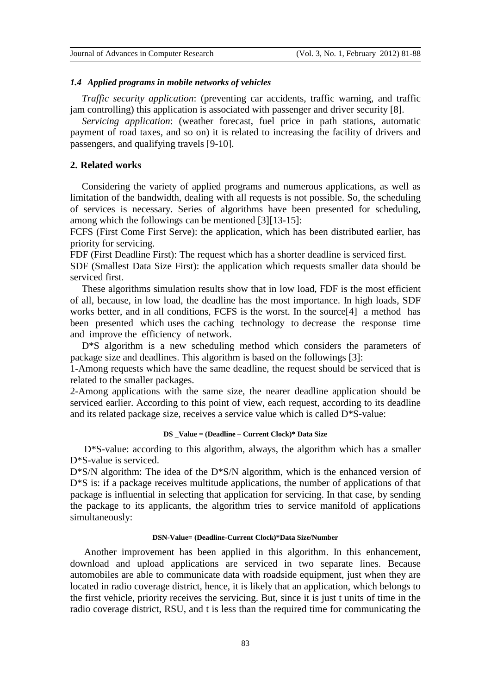#### *1.4 Applied programs in mobile networks of vehicles*

*Traffic security application*: (preventing car accidents, traffic warning, and traffic jam controlling) this application is associated with passenger and driver security [8].

*Servicing application*: (weather forecast, fuel price in path stations, automatic payment of road taxes, and so on) it is related to increasing the facility of drivers and passengers, and qualifying travels [9-10].

#### **2. Related works**

Considering the variety of applied programs and numerous applications, as well as limitation of the bandwidth, dealing with all requests is not possible. So, the scheduling of services is necessary. Series of algorithms have been presented for scheduling, among which the followings can be mentioned [3][13-15]:

FCFS (First Come First Serve): the application, which has been distributed earlier, has priority for servicing.

FDF (First Deadline First): The request which has a shorter deadline is serviced first.

SDF (Smallest Data Size First): the application which requests smaller data should be serviced first.

These algorithms simulation results show that in low load, FDF is the most efficient of all, because, in low load, the deadline has the most importance. In high loads, SDF works better, and in all conditions, FCFS is the worst. In the source<sup>[4]</sup> a method has been presented which uses the caching technology to decrease the response time and improve the efficiency of network.

D<sup>\*</sup>S algorithm is a new scheduling method which considers the parameters of package size and deadlines. This algorithm is based on the followings [3]:

1-Among requests which have the same deadline, the request should be serviced that is related to the smaller packages.

2-Among applications with the same size, the nearer deadline application should be serviced earlier. According to this point of view, each request, according to its deadline and its related package size, receives a service value which is called D\*S-value:

#### **DS \_Value = (Deadline – Current Clock)\* Data Size**

D\*S-value: according to this algorithm, always, the algorithm which has a smaller D\*S-value is serviced.

D\*S/N algorithm: The idea of the D\*S/N algorithm, which is the enhanced version of D<sup>\*</sup>S is: if a package receives multitude applications, the number of applications of that package is influential in selecting that application for servicing. In that case, by sending the package to its applicants, the algorithm tries to service manifold of applications simultaneously:

#### **DSN-Value= (Deadline-Current Clock)\*Data Size/Number**

Another improvement has been applied in this algorithm. In this enhancement, download and upload applications are serviced in two separate lines. Because automobiles are able to communicate data with roadside equipment, just when they are located in radio coverage district, hence, it is likely that an application, which belongs to the first vehicle, priority receives the servicing. But, since it is just t units of time in the radio coverage district, RSU, and t is less than the required time for communicating the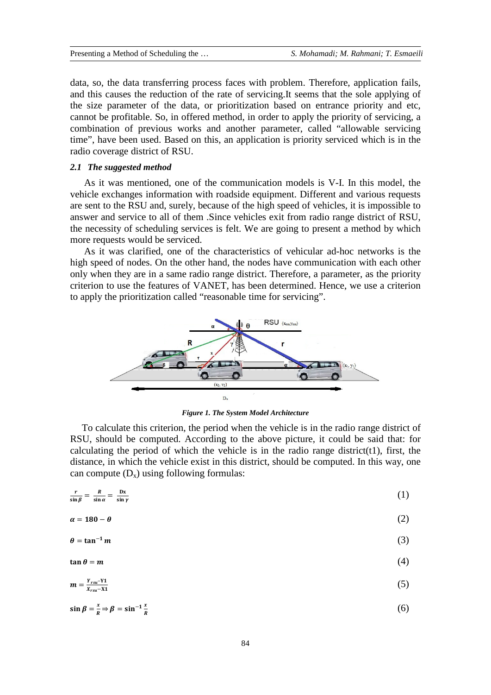data, so, the data transferring process faces with problem. Therefore, application fails, and this causes the reduction of the rate of servicing.It seems that the sole applying of the size parameter of the data, or prioritization based on entrance priority and etc, cannot be profitable. So, in offered method, in order to apply the priority of servicing, a combination of previous works and another parameter, called "allowable servicing time", have been used. Based on this, an application is priority serviced which is in the radio coverage district of RSU.

#### *2.1 The suggested method*

As it was mentioned, one of the communication models is V-I. In this model, the vehicle exchanges information with roadside equipment. Different and various requests are sent to the RSU and, surely, because of the high speed of vehicles, it is impossible to answer and service to all of them .Since vehicles exit from radio range district of RSU, the necessity of scheduling services is felt. We are going to present a method by which more requests would be serviced.

As it was clarified, one of the characteristics of vehicular ad-hoc networks is the high speed of nodes. On the other hand, the nodes have communication with each other only when they are in a same radio range district. Therefore, a parameter, as the priority criterion to use the features of VANET, has been determined. Hence, we use a criterion to apply the prioritization called "reasonable time for servicing".



*Figure 1. The System Model Architecture*

To calculate this criterion, the period when the vehicle is in the radio range district of RSU, should be computed. According to the above picture, it could be said that: for calculating the period of which the vehicle is in the radio range district( $t1$ ), first, the distance, in which the vehicle exist in this district, should be computed. In this way, one can compute  $(D_x)$  using following formulas:

$$
\frac{r}{\sin \beta} = \frac{R}{\sin \alpha} = \frac{Dx}{\sin \gamma} \tag{1}
$$

$$
\alpha = 180 - \theta \tag{2}
$$

$$
\theta = \tan^{-1} m \tag{3}
$$

$$
\tan \theta = m \tag{4}
$$

$$
m = \frac{Y_{rsu} - Y1}{X_{rsu} - X1}
$$
 (5)

$$
\sin \beta = \frac{x}{R} \Rightarrow \beta = \sin^{-1} \frac{x}{R} \tag{6}
$$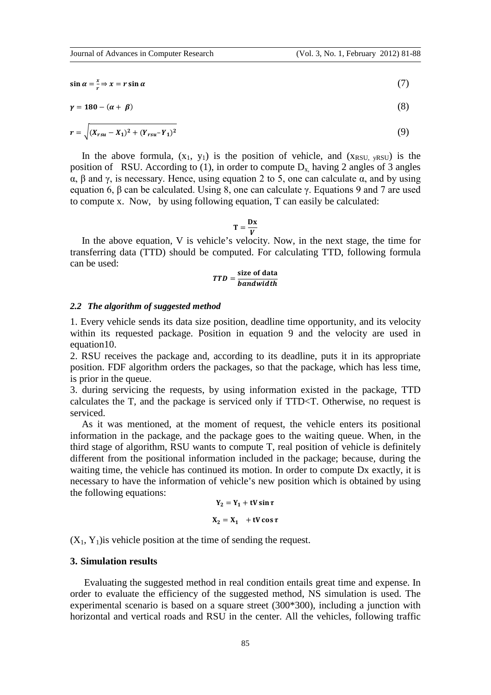$$
\sin \alpha = \frac{x}{r} \Rightarrow x = r \sin \alpha \tag{7}
$$

$$
\gamma = 180 - (\alpha + \beta) \tag{8}
$$

$$
r = \sqrt{(X_{rsu} - X_1)^2 + (Y_{rsu} - Y_1)^2}
$$
\n(9)

In the above formula,  $(x_1, y_1)$  is the position of vehicle, and  $(x_{RSU, yRSU})$  is the position of RSU. According to (1), in order to compute  $D_x$  having 2 angles of 3 angles α, β and γ, is necessary. Hence, using equation 2 to 5, one can calculate α, and by using equation 6, β can be calculated. Using 8, one can calculate γ. Equations 9 and 7 are used to compute x. Now, by using following equation, T can easily be calculated:

 $T = \frac{Dx}{V}$ 

In the above equation, V is vehicle's velocity. Now, in the next stage, the time for transferring data (TTD) should be computed. For calculating TTD, following formula can be used:

# TTD =  $\frac{\text{size of data}}{\text{bandwidth}}$

#### *2.2 The algorithm of suggested method*

1. Every vehicle sends its data size position, deadline time opportunity, and its velocity within its requested package. Position in equation 9 and the velocity are used in equation10.

2. RSU receives the package and, according to its deadline, puts it in its appropriate position. FDF algorithm orders the packages, so that the package, which has less time, is prior in the queue.

3. during servicing the requests, by using information existed in the package, TTD calculates the T, and the package is serviced only if TTD<T. Otherwise, no request is serviced.

As it was mentioned, at the moment of request, the vehicle enters its positional information in the package, and the package goes to the waiting queue. When, in the third stage of algorithm, RSU wants to compute T, real position of vehicle is definitely different from the positional information included in the package; because, during the waiting time, the vehicle has continued its motion. In order to compute Dx exactly, it is necessary to have the information of vehicle's new position which is obtained by using the following equations:

$$
Y_2 = Y_1 + tV \sin \tau
$$
  

$$
X_2 = X_1 + tV \cos \tau
$$

 $(X_1, Y_1)$  is vehicle position at the time of sending the request.

#### **3. Simulation results**

Evaluating the suggested method in real condition entails great time and expense. In order to evaluate the efficiency of the suggested method, NS simulation is used. The experimental scenario is based on a square street (300\*300), including a junction with horizontal and vertical roads and RSU in the center. All the vehicles, following traffic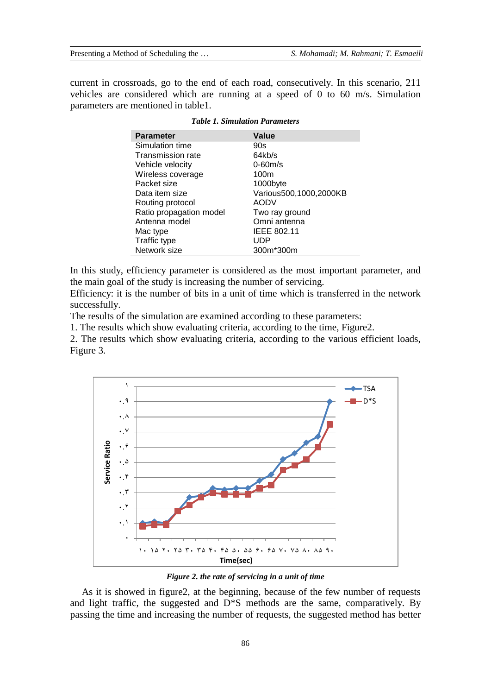current in crossroads, go to the end of each road, consecutively. In this scenario, 211 vehicles are considered which are running at a speed of 0 to 60 m/s. Simulation parameters are mentioned in table1.

| <b>Parameter</b>         | Value                  |
|--------------------------|------------------------|
| Simulation time          | 90s                    |
| <b>Transmission rate</b> | 64kb/s                 |
| Vehicle velocity         | $0-60m/s$              |
| Wireless coverage        | 100m                   |
| Packet size              | 1000byte               |
| Data item size           | Various500,1000,2000KB |
| Routing protocol         | <b>AODV</b>            |
| Ratio propagation model  | Two ray ground         |
| Antenna model            | Omni antenna           |
| Mac type                 | <b>IEEE 802.11</b>     |
| Traffic type             | UDP                    |
| Network size             | 300m*300m              |

*Table 1. Simulation Parameters*

In this study, efficiency parameter is considered as the most important parameter, and the main goal of the study is increasing the number of servicing.

Efficiency: it is the number of bits in a unit of time which is transferred in the network successfully.

The results of the simulation are examined according to these parameters:

1. The results which show evaluating criteria, according to the time, Figure2.

2. The results which show evaluating criteria, according to the various efficient loads, Figure 3.



*Figure 2. the rate of servicing in a unit of time*

As it is showed in figure2, at the beginning, because of the few number of requests and light traffic, the suggested and  $D^*S$  methods are the same, comparatively. By passing the time and increasing the number of requests, the suggested method has better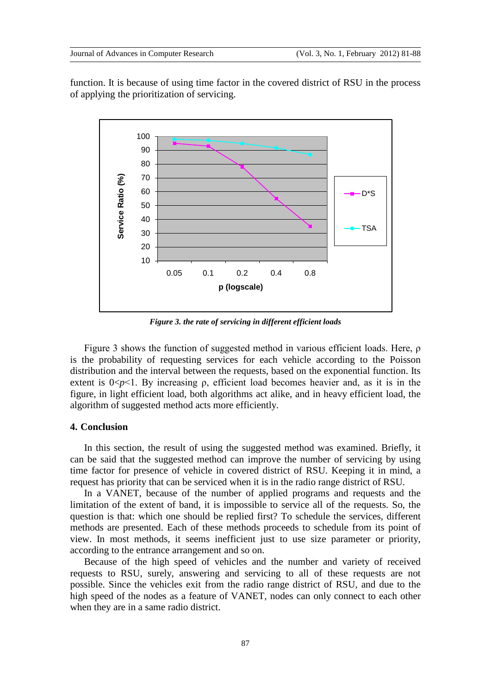function. It is because of using time factor in the covered district of RSU in the process of applying the prioritization of servicing.



*Figure 3. the rate of servicing in different efficient loads*

Figure 3 shows the function of suggested method in various efficient loads. Here, ρ is the probability of requesting services for each vehicle according to the Poisson distribution and the interval between the requests, based on the exponential function. Its extent is  $0 < p < 1$ . By increasing  $\rho$ , efficient load becomes heavier and, as it is in the figure, in light efficient load, both algorithms act alike, and in heavy efficient load, the algorithm of suggested method acts more efficiently.

### **4. Conclusion**

In this section, the result of using the suggested method was examined. Briefly, it can be said that the suggested method can improve the number of servicing by using time factor for presence of vehicle in covered district of RSU. Keeping it in mind, a request has priority that can be serviced when it is in the radio range district of RSU.

In a VANET, because of the number of applied programs and requests and the limitation of the extent of band, it is impossible to service all of the requests. So, the question is that: which one should be replied first? To schedule the services, different methods are presented. Each of these methods proceeds to schedule from its point of view. In most methods, it seems inefficient just to use size parameter or priority, according to the entrance arrangement and so on.

Because of the high speed of vehicles and the number and variety of received requests to RSU, surely, answering and servicing to all of these requests are not possible. Since the vehicles exit from the radio range district of RSU, and due to the high speed of the nodes as a feature of VANET, nodes can only connect to each other when they are in a same radio district.